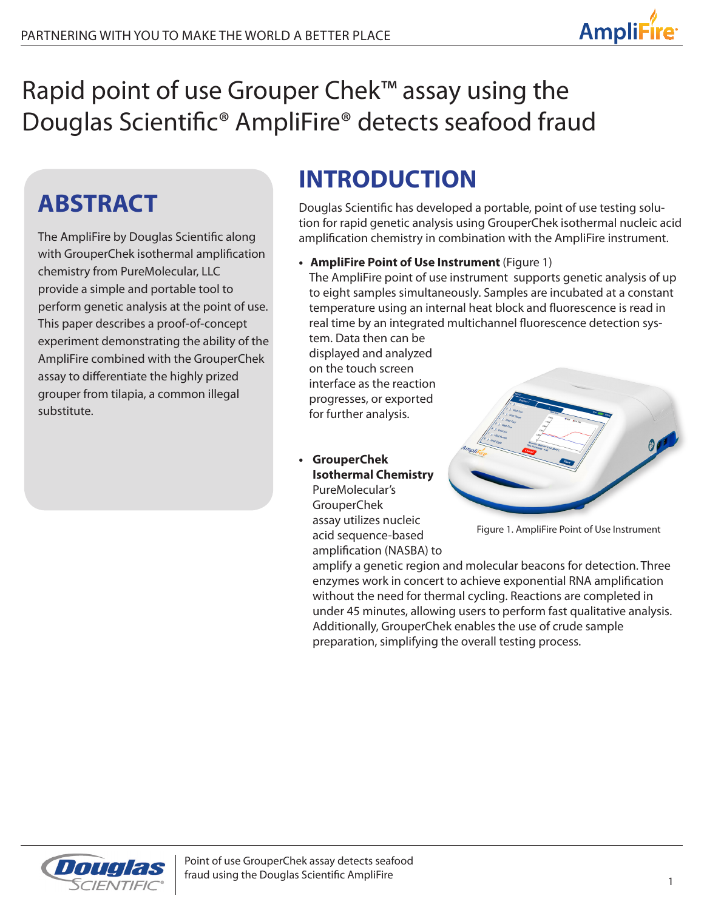## Rapid point of use Grouper Chek™ assay using the Douglas Scientific® AmpliFire® detects seafood fraud

# **ABSTRACT**

The AmpliFire by Douglas Scientific along with GrouperChek isothermal amplification chemistry from PureMolecular, LLC provide a simple and portable tool to perform genetic analysis at the point of use. This paper describes a proof-of-concept experiment demonstrating the ability of the AmpliFire combined with the GrouperChek assay to differentiate the highly prized grouper from tilapia, a common illegal substitute.

# **INTRODUCTION**

Douglas Scientific has developed a portable, point of use testing solution for rapid genetic analysis using GrouperChek isothermal nucleic acid amplification chemistry in combination with the AmpliFire instrument.

**• AmpliFire Point of Use Instrument** (Figure 1)

The AmpliFire point of use instrument supports genetic analysis of up to eight samples simultaneously. Samples are incubated at a constant temperature using an internal heat block and fluorescence is read in real time by an integrated multichannel fluorescence detection sys-

tem. Data then can be displayed and analyzed on the touch screen interface as the reaction progresses, or exported for further analysis.

**• GrouperChek Isothermal Chemistry** PureMolecular's GrouperChek assay utilizes nucleic acid sequence-based amplification (NASBA) to



Figure 1. AmpliFire Point of Use Instrument

amplify a genetic region and molecular beacons for detection. Three enzymes work in concert to achieve exponential RNA amplification without the need for thermal cycling. Reactions are completed in under 45 minutes, allowing users to perform fast qualitative analysis. Additionally, GrouperChek enables the use of crude sample preparation, simplifying the overall testing process.